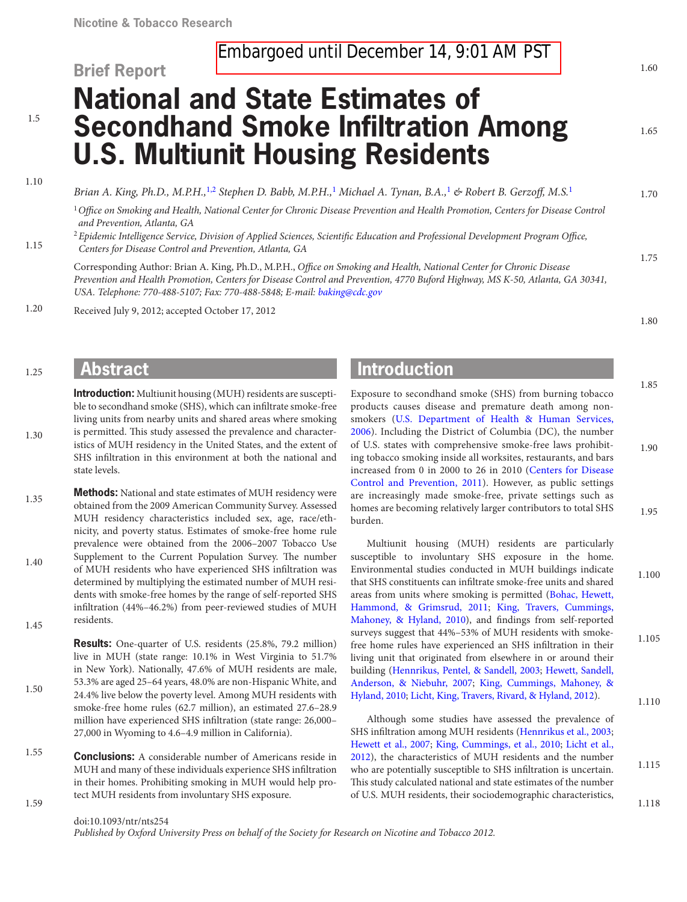# **Brief Report**

1.65

1.70

1.75

1.80

1.85

# **National and State Estimates of Secondhand Smoke Infiltration Among U.S. Multiunit Housing Residents**

1.5

1.10

1.15

1.25

1.30

*Brian A. King, Ph.D., M.P.H.,*[1,](#page-0-0)[2](#page-0-1) *Stephen D. Babb, M.P.H.,*[1](#page-0-0) *Michael A. Tynan, B.A.,*[1](#page-0-0) *& Robert B. Gerzoff, M.S.*[1](#page-0-0)

<span id="page-0-0"></span><sup>1</sup>*Office on Smoking and Health, National Center for Chronic Disease Prevention and Health Promotion, Centers for Disease Control and Prevention, Atlanta, GA*

<span id="page-0-1"></span><sup>2</sup> *Epidemic Intelligence Service, Division of Applied Sciences, Scientific Education and Professional Development Program Office, Centers for Disease Control and Prevention, Atlanta, GA*

Corresponding Author: Brian A. King, Ph.D., M.P.H., *Office on Smoking and Health, National Center for Chronic Disease Prevention and Health Promotion, Centers for Disease Control and Prevention, 4770 Buford Highway, MS K-50, Atlanta, GA 30341, USA. Telephone: 770-488-5107; Fax: 770-488-5848; E-mail: [baking@cdc.gov](mailto:baking@cdc.gov)*

Received July 9, 2012; accepted October 17, 2012 1.20

### **Abstract**

**Introduction:** Multiunit housing (MUH) residents are susceptible to secondhand smoke (SHS), which can infiltrate smoke-free living units from nearby units and shared areas where smoking is permitted. This study assessed the prevalence and characteristics of MUH residency in the United States, and the extent of SHS infiltration in this environment at both the national and state levels.

**Methods:** National and state estimates of MUH residency were obtained from the 2009 American Community Survey. Assessed MUH residency characteristics included sex, age, race/ethnicity, and poverty status. Estimates of smoke-free home rule prevalence were obtained from the 2006–2007 Tobacco Use Supplement to the Current Population Survey. The number of MUH residents who have experienced SHS infiltration was determined by multiplying the estimated number of MUH residents with smoke-free homes by the range of self-reported SHS infiltration (44%–46.2%) from peer-reviewed studies of MUH residents. 1.35 1.40 1.45

> **Results:** One-quarter of U.S. residents (25.8%, 79.2 million) live in MUH (state range: 10.1% in West Virginia to 51.7% in New York). Nationally, 47.6% of MUH residents are male, 53.3% are aged 25–64 years, 48.0% are non-Hispanic White, and 24.4% live below the poverty level. Among MUH residents with smoke-free home rules (62.7 million), an estimated 27.6–28.9 million have experienced SHS infiltration (state range: 26,000– 27,000 in Wyoming to 4.6–4.9 million in California).

**Conclusions:** A considerable number of Americans reside in MUH and many of these individuals experience SHS infiltration in their homes. Prohibiting smoking in MUH would help protect MUH residents from involuntary SHS exposure. 1.55

## **Introduction**

Exposure to secondhand smoke (SHS) from burning tobacco products causes disease and premature death among nonsmokers ([U.S. Department of Health & Human Services,](#page-6-0)  [2006\)](#page-6-0). Including the District of Columbia (DC), the number of U.S. states with comprehensive smoke-free laws prohibiting tobacco smoking inside all worksites, restaurants, and bars increased from 0 in 2000 to 26 in 2010 ([Centers for Disease](#page-5-0) [Control and Prevention, 2011](#page-5-0)). However, as public settings are increasingly made smoke-free, private settings such as homes are becoming relatively larger contributors to total SHS burden. 1.90 1.95

Multiunit housing (MUH) residents are particularly susceptible to involuntary SHS exposure in the home. Environmental studies conducted in MUH buildings indicate that SHS constituents can infiltrate smoke-free units and shared areas from units where smoking is permitted [\(Bohac, Hewett,](#page-5-1)  [Hammond, & Grimsrud, 2011](#page-5-1); [King, Travers, Cummings,](#page-5-2) [Mahoney, & Hyland, 2010\)](#page-5-2), and findings from self-reported surveys suggest that 44%–53% of MUH residents with smokefree home rules have experienced an SHS infiltration in their living unit that originated from elsewhere in or around their building [\(Hennrikus, Pentel, & Sandell, 2003](#page-5-3); [Hewett, Sandell,](#page-5-4)  [Anderson, & Niebuhr, 2007;](#page-5-4) [King, Cummings, Mahoney, &](#page-5-5) [Hyland, 2010;](#page-5-5) [Licht, King, Travers, Rivard, & Hyland, 2012](#page-5-6)). 1.105

Although some studies have assessed the prevalence of SHS infiltration among MUH residents ([Hennrikus et al., 2003;](#page-5-3) [Hewett et al., 2007;](#page-5-4) [King, Cummings, et al., 2010;](#page-5-5) [Licht et al.,](#page-5-6) [2012](#page-5-6)), the characteristics of MUH residents and the number who are potentially susceptible to SHS infiltration is uncertain. This study calculated national and state estimates of the number of U.S. MUH residents, their sociodemographic characteristics,

1.59

1.50

doi:10.1093/ntr/nts254

*Published by Oxford University Press on behalf of the Society for Research on Nicotine and Tobacco 2012.*

1.100

1.110

1.115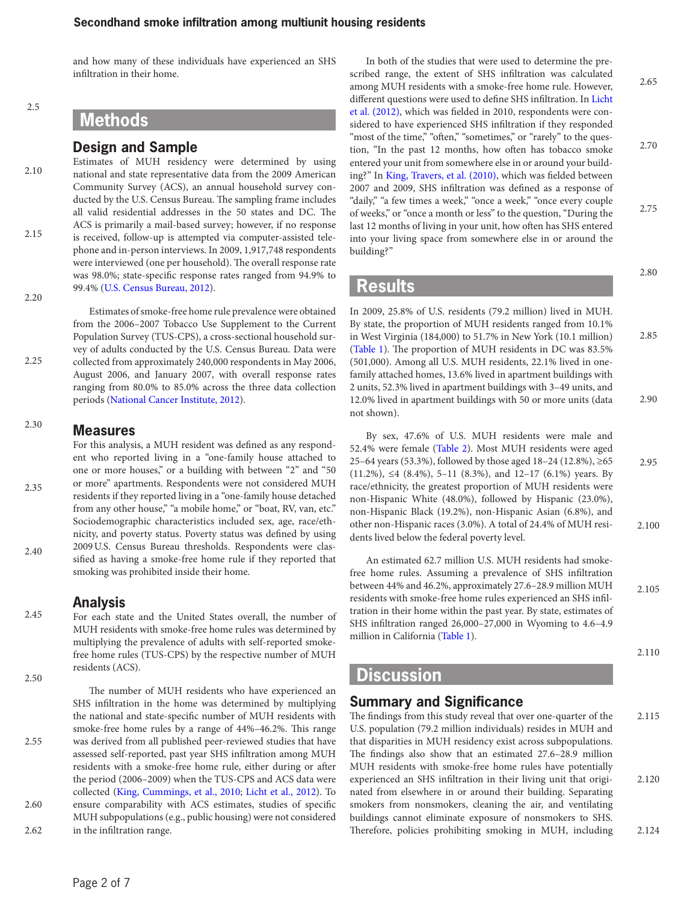and how many of these individuals have experienced an SHS infiltration in their home.

2.5

### **Methods**

#### **Design and Sample**

Estimates of MUH residency were determined by using national and state representative data from the 2009 American Community Survey (ACS), an annual household survey conducted by the U.S. Census Bureau. The sampling frame includes all valid residential addresses in the 50 states and DC. The ACS is primarily a mail-based survey; however, if no response is received, follow-up is attempted via computer-assisted telephone and in-person interviews. In 2009, 1,917,748 respondents were interviewed (one per household). The overall response rate was 98.0%; state-specific response rates ranged from 94.9% to 99.4% [\(U.S. Census Bureau, 2012\)](#page-6-1). 2.10 2.15 2.20

2.25

Estimates of smoke-free home rule prevalence were obtained from the 2006–2007 Tobacco Use Supplement to the Current Population Survey (TUS-CPS), a cross-sectional household survey of adults conducted by the U.S. Census Bureau. Data were collected from approximately 240,000 respondents in May 2006, August 2006, and January 2007, with overall response rates ranging from 80.0% to 85.0% across the three data collection periods ([National Cancer Institute, 2012\)](#page-5-7).

#### **Measures** 2.30

For this analysis, a MUH resident was defined as any respondent who reported living in a "one-family house attached to one or more houses," or a building with between "2" and "50 or more" apartments. Respondents were not considered MUH residents if they reported living in a "one-family house detached from any other house," "a mobile home," or "boat, RV, van, etc." Sociodemographic characteristics included sex, age, race/ethnicity, and poverty status. Poverty status was defined by using 2009U.S. Census Bureau thresholds. Respondents were classified as having a smoke-free home rule if they reported that smoking was prohibited inside their home. 2.35 2.40

### **Analysis**

For each state and the United States overall, the number of MUH residents with smoke-free home rules was determined by multiplying the prevalence of adults with self-reported smokefree home rules (TUS-CPS) by the respective number of MUH residents (ACS). 2.45 2.50

The number of MUH residents who have experienced an SHS infiltration in the home was determined by multiplying the national and state-specific number of MUH residents with smoke-free home rules by a range of 44%–46.2%. This range was derived from all published peer-reviewed studies that have assessed self-reported, past year SHS infiltration among MUH residents with a smoke-free home rule, either during or after the period (2006–2009) when the TUS-CPS and ACS data were collected [\(King, Cummings, et al., 2010](#page-5-5); [Licht et al., 2012](#page-5-6)). To ensure comparability with ACS estimates, studies of specific MUH subpopulations (e.g., public housing) were not considered in the infiltration range. 2.55 2.60 2.62

In both of the studies that were used to determine the prescribed range, the extent of SHS infiltration was calculated among MUH residents with a smoke-free home rule. However, different questions were used to define SHS infiltration. In [Licht](#page-5-6) [et al. \(2012\)](#page-5-6), which was fielded in 2010, respondents were considered to have experienced SHS infiltration if they responded "most of the time," "often," "sometimes," or "rarely" to the question, "In the past 12 months, how often has tobacco smoke entered your unit from somewhere else in or around your building?" In [King, Travers, et al. \(2010\)](#page-5-2), which was fielded between 2007 and 2009, SHS infiltration was defined as a response of "daily," "a few times a week," "once a week," "once every couple of weeks," or "once a month or less" to the question, "During the last 12 months of living in your unit, how often has SHS entered into your living space from somewhere else in or around the building?" 2.65 2.70 2.75

### **Results**

In 2009, 25.8% of U.S. residents (79.2 million) lived in MUH. By state, the proportion of MUH residents ranged from 10.1% in West Virginia (184,000) to 51.7% in New York (10.1 million) [\(Table 1\)](#page-2-0). The proportion of MUH residents in DC was 83.5% (501,000). Among all U.S. MUH residents, 22.1% lived in onefamily attached homes, 13.6% lived in apartment buildings with 2 units, 52.3% lived in apartment buildings with 3–49 units, and 12.0% lived in apartment buildings with 50 or more units (data not shown). 2.85 2.90

By sex, 47.6% of U.S. MUH residents were male and 52.4% were female [\(Table 2\)](#page-3-0). Most MUH residents were aged 25–64 years (53.3%), followed by those aged 18–24 (12.8%), ≥65 (11.2%),  $\leq 4$  (8.4%), 5–11 (8.3%), and 12–17 (6.1%) years. By race/ethnicity, the greatest proportion of MUH residents were non-Hispanic White (48.0%), followed by Hispanic (23.0%), non-Hispanic Black (19.2%), non-Hispanic Asian (6.8%), and other non-Hispanic races (3.0%). A total of 24.4% of MUH residents lived below the federal poverty level. 2.95 2.100

An estimated 62.7 million U.S. MUH residents had smokefree home rules. Assuming a prevalence of SHS infiltration between 44% and 46.2%, approximately 27.6–28.9 million MUH residents with smoke-free home rules experienced an SHS infiltration in their home within the past year. By state, estimates of SHS infiltration ranged 26,000–27,000 in Wyoming to 4.6–4.9 million in California ([Table 1](#page-2-0)). 2.105

2.110

2.80

### **Discussion**

### **Summary and Significance**

The findings from this study reveal that over one-quarter of the U.S. population (79.2 million individuals) resides in MUH and that disparities in MUH residency exist across subpopulations. The findings also show that an estimated 27.6–28.9 million MUH residents with smoke-free home rules have potentially experienced an SHS infiltration in their living unit that originated from elsewhere in or around their building. Separating smokers from nonsmokers, cleaning the air, and ventilating buildings cannot eliminate exposure of nonsmokers to SHS. Therefore, policies prohibiting smoking in MUH, including 2.115 2.120 2.124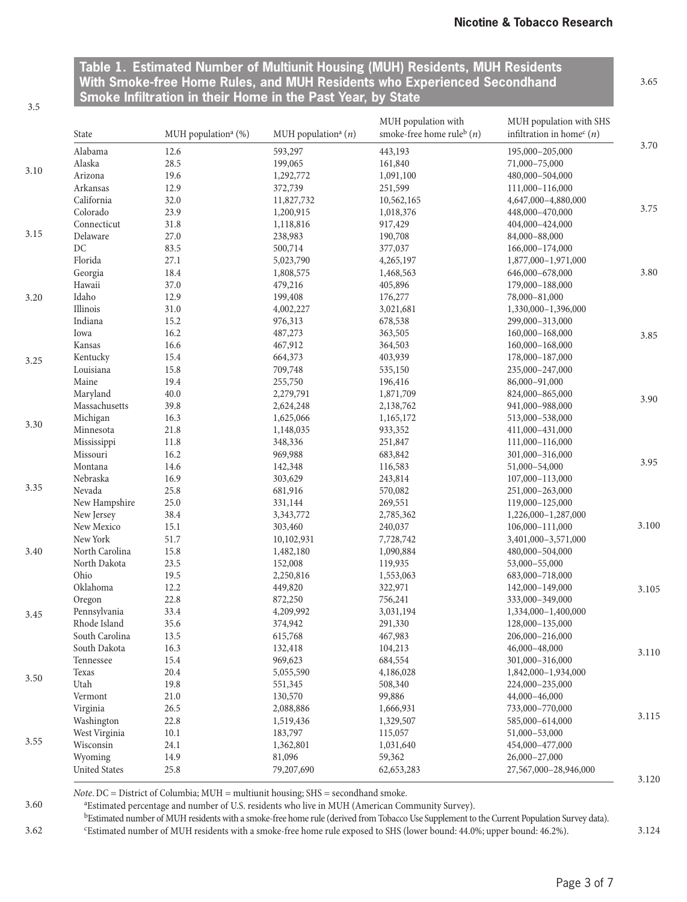3.65

<span id="page-2-0"></span>**Table 1. Estimated Number of Multiunit Housing (MUH) Residents, MUH Residents With Smoke-free Home Rules, and MUH Residents who Experienced Secondhand Smoke Infiltration in their Home in the Past Year, by State**

3.5

3.60

|      | State                    | MUH population <sup>a</sup> (%) | MUH population <sup>a</sup> $(n)$ | MUH population with<br>smoke-free home rule <sup>b</sup> $(n)$ | MUH population with SHS<br>infiltration in home <sup>c</sup> (n) |       |
|------|--------------------------|---------------------------------|-----------------------------------|----------------------------------------------------------------|------------------------------------------------------------------|-------|
|      | Alabama                  | 12.6                            | 593,297                           | 443,193                                                        | 195,000-205,000                                                  | 3.70  |
|      | Alaska                   | 28.5                            | 199,065                           | 161,840                                                        | 71,000-75,000                                                    |       |
| 3.10 | Arizona                  | 19.6                            | 1,292,772                         | 1,091,100                                                      | 480,000-504,000                                                  |       |
|      | Arkansas                 | 12.9                            | 372,739                           | 251,599                                                        | 111,000-116,000                                                  |       |
|      | California               | 32.0                            | 11,827,732                        | 10,562,165                                                     | 4,647,000-4,880,000                                              |       |
|      | Colorado                 | 23.9                            | 1,200,915                         | 1,018,376                                                      | 448,000-470,000                                                  | 3.75  |
|      | Connecticut              | 31.8                            | 1,118,816                         | 917,429                                                        | 404,000-424,000                                                  |       |
| 3.15 | Delaware                 | 27.0                            | 238,983                           | 190,708                                                        | 84,000-88,000                                                    |       |
|      | DC                       | 83.5                            | 500,714                           | 377,037                                                        | 166,000-174,000                                                  |       |
|      | Florida                  | 27.1                            | 5,023,790                         | 4,265,197                                                      | 1,877,000-1,971,000                                              |       |
|      | Georgia                  | 18.4                            | 1,808,575                         | 1,468,563                                                      | 646,000-678,000                                                  | 3.80  |
|      | Hawaii                   | 37.0                            | 479,216                           | 405,896                                                        | 179,000-188,000                                                  |       |
| 3.20 | Idaho                    | 12.9                            | 199,408                           | 176,277                                                        | 78,000-81,000                                                    |       |
|      | Illinois                 | 31.0                            | 4,002,227                         | 3,021,681                                                      | 1,330,000-1,396,000                                              |       |
|      | Indiana                  | 15.2                            | 976,313                           | 678,538                                                        | 299,000-313,000                                                  |       |
|      | Iowa                     | 16.2                            | 487,273                           | 363,505                                                        | 160,000-168,000                                                  | 3.85  |
|      | Kansas                   | 16.6                            | 467,912                           | 364,503                                                        | 160,000-168,000                                                  |       |
|      | Kentucky                 | 15.4                            | 664,373                           | 403,939                                                        | 178,000-187,000                                                  |       |
| 3.25 | Louisiana                | 15.8                            | 709,748                           | 535,150                                                        | 235,000-247,000                                                  |       |
|      | Maine                    | 19.4                            | 255,750                           | 196,416                                                        | 86,000-91,000                                                    |       |
|      | Maryland                 | 40.0                            | 2,279,791                         | 1,871,709                                                      | 824,000-865,000                                                  |       |
|      | Massachusetts            | 39.8                            | 2,624,248                         | 2,138,762                                                      | 941,000-988,000                                                  | 3.90  |
|      | Michigan                 | 16.3                            | 1,625,066                         | 1,165,172                                                      | 513,000-538,000                                                  |       |
| 3.30 | Minnesota                | 21.8                            | 1,148,035                         | 933,352                                                        | 411,000-431,000                                                  |       |
|      | Mississippi              | 11.8                            | 348,336                           | 251,847                                                        | 111,000-116,000                                                  |       |
|      | Missouri                 | 16.2                            | 969,988                           | 683,842                                                        | 301,000-316,000                                                  |       |
|      | Montana                  | 14.6                            | 142,348                           | 116,583                                                        | 51,000-54,000                                                    | 3.95  |
|      | Nebraska                 | 16.9                            | 303,629                           |                                                                |                                                                  |       |
| 3.35 | Nevada                   |                                 |                                   | 243,814                                                        | 107,000-113,000                                                  |       |
|      |                          | 25.8                            | 681,916                           | 570,082                                                        | 251,000-263,000                                                  |       |
|      | New Hampshire            | 25.0<br>38.4                    | 331,144                           | 269,551                                                        | 119,000-125,000                                                  |       |
|      | New Jersey<br>New Mexico |                                 | 3,343,772                         | 2,785,362                                                      | 1,226,000-1,287,000                                              | 3.100 |
|      |                          | 15.1                            | 303,460                           | 240,037                                                        | 106,000-111,000                                                  |       |
|      | New York                 | 51.7                            | 10,102,931                        | 7,728,742                                                      | 3,401,000-3,571,000                                              |       |
| 3.40 | North Carolina           | 15.8                            | 1,482,180                         | 1,090,884                                                      | 480,000-504,000                                                  |       |
|      | North Dakota             | 23.5                            | 152,008                           | 119,935                                                        | 53,000-55,000                                                    |       |
|      | Ohio                     | 19.5                            | 2,250,816                         | 1,553,063                                                      | 683,000-718,000                                                  |       |
|      | Oklahoma                 | 12.2                            | 449,820                           | 322,971                                                        | 142,000-149,000                                                  | 3.105 |
|      | Oregon                   | 22.8                            | 872,250                           | 756,241                                                        | 333,000-349,000                                                  |       |
| 3.45 | Pennsylvania             | 33.4                            | 4,209,992                         | 3,031,194                                                      | 1,334,000-1,400,000                                              |       |
|      | Rhode Island             | 35.6                            | 374,942                           | 291,330                                                        | 128,000-135,000                                                  |       |
|      | South Carolina           | 13.5                            | 615,768                           | 467,983                                                        | 206,000-216,000                                                  |       |
|      | South Dakota             | 16.3                            | 132,418                           | 104,213                                                        | 46,000-48,000                                                    | 3.110 |
|      | Tennessee                | 15.4                            | 969,623                           | 684,554                                                        | 301,000-316,000                                                  |       |
| 3.50 | Texas                    | 20.4                            | 5,055,590                         | 4,186,028                                                      | 1,842,000-1,934,000                                              |       |
|      | Utah                     | 19.8                            | 551,345                           | 508,340                                                        | 224,000-235,000                                                  |       |
|      | Vermont                  | 21.0                            | 130,570                           | 99,886                                                         | 44,000-46,000                                                    |       |
|      | Virginia                 | 26.5                            | 2,088,886                         | 1,666,931                                                      | 733,000-770,000                                                  | 3.115 |
|      | Washington               | 22.8                            | 1,519,436                         | 1,329,507                                                      | 585,000-614,000                                                  |       |
|      | West Virginia            | 10.1                            | 183,797                           | 115,057                                                        | 51,000-53,000                                                    |       |
| 3.55 | Wisconsin                | 24.1                            | 1,362,801                         | 1,031,640                                                      | 454,000-477,000                                                  |       |
|      | Wyoming                  | 14.9                            | 81,096                            | 59,362                                                         | 26,000-27,000                                                    |       |
|      | <b>United States</b>     | 25.8                            | 79,207,690                        | 62, 653, 283                                                   | 27,567,000-28,946,000                                            | 3.120 |

*Note*. DC = District of Columbia; MUH = multiunit housing; SHS = secondhand smoke.

a Estimated percentage and number of U.S. residents who live in MUH (American Community Survey).

<sup>b</sup>Estimated number of MUH residents with a smoke-free home rule (derived from Tobacco Use Supplement to the Current Population Survey data).

c Estimated number of MUH residents with a smoke-free home rule exposed to SHS (lower bound: 44.0%; upper bound: 46.2%). 3.62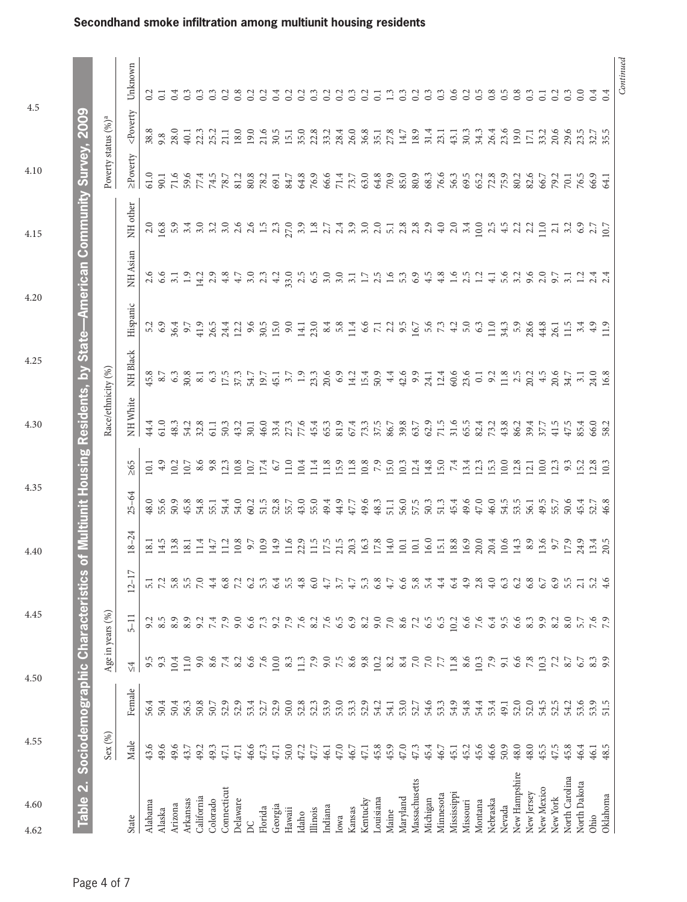<span id="page-3-0"></span>

| 4.60<br>4.62                             | 4.55                                       |        | 4.50                                         | 4.45             |                                                                                                                               | 4.40           | 4.35                                     |           | 4.30                                                                       | 4.25     | 4.20                                                                       |                         | 4.15                                                                                                                                                                                                                             | 4.10                            | 4.5                                                                                        |                   |
|------------------------------------------|--------------------------------------------|--------|----------------------------------------------|------------------|-------------------------------------------------------------------------------------------------------------------------------|----------------|------------------------------------------|-----------|----------------------------------------------------------------------------|----------|----------------------------------------------------------------------------|-------------------------|----------------------------------------------------------------------------------------------------------------------------------------------------------------------------------------------------------------------------------|---------------------------------|--------------------------------------------------------------------------------------------|-------------------|
| Table 2. Sociodemographic Characteristic |                                            |        |                                              |                  |                                                                                                                               |                |                                          |           | s of Multiunit Housing Residents, by State—American Community Survey, 2009 |          |                                                                            |                         |                                                                                                                                                                                                                                  |                                 |                                                                                            |                   |
|                                          | $\operatorname{Sex}\left(\text{\%}\right)$ |        |                                              | Age in years (%) |                                                                                                                               |                |                                          |           | Race/ethnicity (%)                                                         |          |                                                                            |                         |                                                                                                                                                                                                                                  | Poverty status (%) <sup>a</sup> |                                                                                            |                   |
| State                                    | Male                                       | Female | $\leq 4$                                     | $5 - 11$         | $\overline{17}$<br>$12 -$                                                                                                     | Ż<br>$18 -$    | $25 - 64$                                | $\geq 65$ | NH White                                                                   | NH Black | Hispanic                                                                   | NH Asian                | NH other                                                                                                                                                                                                                         | $\geq$ Poverty                  | <poverty< th=""><th>Unknown</th></poverty<>                                                | Unknown           |
| Alabama                                  | 43.6                                       | 56.4   | 9.5                                          |                  |                                                                                                                               |                |                                          |           | 44.4                                                                       |          |                                                                            |                         |                                                                                                                                                                                                                                  |                                 |                                                                                            |                   |
| Alaska                                   | 49.6                                       | 50.4   | 9.3                                          |                  | $\frac{1}{2}$ $\frac{1}{2}$ $\frac{3}{2}$ $\frac{8}{5}$ $\frac{5}{6}$ $\frac{5}{6}$ $\frac{5}{6}$ $\frac{5}{6}$ $\frac{5}{6}$ |                | $48.0$<br>55.6                           |           |                                                                            |          |                                                                            |                         |                                                                                                                                                                                                                                  |                                 | $38.8$<br>$9.8$<br>$40.1$<br>$42.3$                                                        | $\frac{0.2}{0.1}$ |
| Arizona                                  | 49.6                                       | 50.4   | 0.4                                          | $8.5$<br>$8.9$   |                                                                                                                               |                |                                          |           | 61.0<br>48.3                                                               |          |                                                                            |                         |                                                                                                                                                                                                                                  |                                 |                                                                                            |                   |
| Arkansas                                 | 43.7                                       | 56.3   | 11.0                                         | 8.9              |                                                                                                                               |                |                                          |           |                                                                            |          |                                                                            |                         |                                                                                                                                                                                                                                  |                                 |                                                                                            |                   |
| California                               | 49.2                                       | 50.8   | 9.0                                          | 9.2              |                                                                                                                               |                | 45.8<br>54.8                             |           |                                                                            |          | 50047954295001048516729518303030815499200479542001048512500125150118011100 |                         | consider di considerazione di considera di considerazione di considerazione di considerazione di considerazion<br>Considerazione di considerazione di considerazione di considerazione di considerazione di considerazione di co |                                 |                                                                                            | 333338            |
| Colorado                                 | 49.3                                       | 50.7   | $6.6$<br>7.4                                 | 7.4              |                                                                                                                               |                | 55.1<br>54.4                             |           |                                                                            |          |                                                                            |                         |                                                                                                                                                                                                                                  |                                 | 25.2                                                                                       |                   |
| Connecticut                              | 47.1                                       | 52.9   |                                              | 7.9              | $4.8$ $0.2$ $0.3$<br>$0.3$ $0.3$                                                                                              |                |                                          |           |                                                                            |          |                                                                            |                         |                                                                                                                                                                                                                                  |                                 | 21.1                                                                                       |                   |
| Delaware                                 | 47.1                                       | 52.9   | 8.2                                          | 9.0              |                                                                                                                               |                | 54.0                                     |           |                                                                            |          |                                                                            |                         |                                                                                                                                                                                                                                  | 81.2                            |                                                                                            |                   |
| DC                                       | 46.6                                       | 53.4   | 6.6                                          | 6.6              |                                                                                                                               |                |                                          |           |                                                                            |          |                                                                            |                         |                                                                                                                                                                                                                                  | 80.8<br>78.2                    |                                                                                            | $\frac{2}{2}$ 3   |
| Florida                                  | $47.3$                                     | 52.7   | 7.6                                          | 7.3              |                                                                                                                               |                |                                          |           |                                                                            |          |                                                                            |                         |                                                                                                                                                                                                                                  |                                 |                                                                                            |                   |
| Georgia                                  | 47.1                                       | 52.9   | $10.0$                                       | 9.2              | 6.4                                                                                                                           |                |                                          |           |                                                                            |          |                                                                            |                         |                                                                                                                                                                                                                                  | 69.1                            |                                                                                            | 0.4               |
| Hawaii                                   | 50.0                                       | 50.0   | 8.3                                          | 7.9              |                                                                                                                               |                | $0.75879943$ $0.75879943$ $0.759943$     |           |                                                                            |          |                                                                            |                         |                                                                                                                                                                                                                                  | 84.7                            |                                                                                            |                   |
| Idaho                                    | $47.2$<br>$47.7$                           | 52.8   | 11.3                                         | 7.6              | 4.8                                                                                                                           |                |                                          |           |                                                                            |          |                                                                            |                         |                                                                                                                                                                                                                                  | 64.8                            |                                                                                            | $\overline{0}$    |
| Illinois                                 |                                            | 52.3   | $7.9$ $0.5$ $0.6$ $0.8$<br>$0.6$ $0.8$ $0.8$ | $8.2\,$          | 6.0                                                                                                                           |                |                                          |           |                                                                            |          |                                                                            |                         |                                                                                                                                                                                                                                  | 76.9<br>66.6<br>71.4            |                                                                                            | $0.3$<br>$0.2$    |
| Indiana                                  | 46.1                                       | 53.9   |                                              |                  | 4.7                                                                                                                           |                |                                          |           |                                                                            |          |                                                                            |                         |                                                                                                                                                                                                                                  |                                 |                                                                                            |                   |
| Iowa                                     | 47.0                                       | 53.0   |                                              | $7.6$<br>6.5     | 3.7                                                                                                                           |                |                                          |           |                                                                            |          |                                                                            |                         |                                                                                                                                                                                                                                  |                                 |                                                                                            |                   |
| Kansas                                   | 46.7                                       |        |                                              | 6.9              | 4.7                                                                                                                           |                |                                          |           |                                                                            |          |                                                                            |                         |                                                                                                                                                                                                                                  |                                 |                                                                                            | $0.\overline{3}$  |
| Kentucky                                 | $47.1\,$                                   | 53.3   |                                              | 8.2              | 53                                                                                                                            |                |                                          |           |                                                                            |          |                                                                            |                         |                                                                                                                                                                                                                                  | $73.7\,$ $63.0\,$               |                                                                                            | 0.2               |
| Louisiana                                |                                            | 54.2   |                                              | 9.0              | 6.8                                                                                                                           |                |                                          |           |                                                                            |          |                                                                            |                         |                                                                                                                                                                                                                                  |                                 |                                                                                            | $\overline{c}$    |
| Maine                                    | $45.8$<br>$45.9$                           | 54.1   |                                              | $7.0\,$          | 4.7                                                                                                                           |                |                                          |           |                                                                            |          |                                                                            |                         |                                                                                                                                                                                                                                  | $64.8$<br>70.9<br>85.0          | 8 9 9 9 5 1 9 8 8 1 5 6 7 7 9 6 7 7 8 9 7 7 8 7<br>8 9 7 8 9 7 8 7 8 7 8 7 8 9 8 9 8 7 7 4 | $\mathbf{r}$      |
| Maryland                                 | 47.0                                       | 53.0   |                                              | 8.6              | 6.6                                                                                                                           |                |                                          |           |                                                                            |          |                                                                            |                         |                                                                                                                                                                                                                                  |                                 |                                                                                            | $0.\overline{3}$  |
| Massachusetts                            | $47.3$                                     | 52.7   |                                              | $7.2$<br>6.5     | 5.4                                                                                                                           |                |                                          |           | $63.7$<br>$62.9$<br>$71.5$<br>$65.5$                                       |          |                                                                            | $6.9$<br>$4.3$<br>$4.3$ |                                                                                                                                                                                                                                  | 80.9<br>68.3<br>56.5<br>69.5    | 18.9                                                                                       | $0.\overline{3}$  |
| Michigan                                 | 45.4                                       | 54.6   |                                              |                  |                                                                                                                               |                |                                          |           |                                                                            |          |                                                                            |                         |                                                                                                                                                                                                                                  |                                 | 31.4                                                                                       |                   |
| Minnesota                                | 46.7                                       | 53.3   |                                              | 6.5              | 4.4                                                                                                                           |                |                                          |           |                                                                            |          |                                                                            |                         |                                                                                                                                                                                                                                  |                                 | 23.1                                                                                       | $0.\overline{3}$  |
| Mississippi                              | 45.1                                       | 54.9   |                                              | 10.2             | 6.4                                                                                                                           |                |                                          |           |                                                                            |          |                                                                            | $1.6$<br>2.5            |                                                                                                                                                                                                                                  |                                 | 43.1                                                                                       |                   |
| Missouri                                 | 45.2                                       | 54.8   |                                              | 6.6              | $^{4.9}$                                                                                                                      |                |                                          |           |                                                                            |          |                                                                            |                         |                                                                                                                                                                                                                                  |                                 | 30.3                                                                                       |                   |
| Montana                                  | 45.6                                       | 54.4   | 10.3                                         | 7.6              | 2.8                                                                                                                           |                |                                          |           |                                                                            |          |                                                                            | $\overline{13}$         |                                                                                                                                                                                                                                  |                                 | 34.3                                                                                       |                   |
| Nebraska                                 | 46.6                                       | 53.4   |                                              | 6.4              | 4.0                                                                                                                           |                | 46.0                                     |           |                                                                            |          |                                                                            | $\overline{4.1}$        |                                                                                                                                                                                                                                  | 65.2<br>72.9<br>75.9<br>82.6    |                                                                                            | $0.8$<br>$0.5$    |
| Nevada                                   | 50.9                                       | 49.1   | 9.1                                          | 9.5              | 6.3                                                                                                                           |                | 54.5                                     |           |                                                                            |          |                                                                            |                         |                                                                                                                                                                                                                                  |                                 |                                                                                            |                   |
| New Hampshire                            | 48.0                                       | 52.0   | 6.6                                          | 6.6              | $\begin{array}{c} 6.2 \\ 6.8 \end{array}$                                                                                     |                |                                          |           |                                                                            |          |                                                                            |                         |                                                                                                                                                                                                                                  |                                 |                                                                                            | 0.8               |
| New Jersey                               | 48.0                                       | 52.0   |                                              | 8.3              |                                                                                                                               |                |                                          |           |                                                                            |          |                                                                            |                         |                                                                                                                                                                                                                                  |                                 |                                                                                            | $0.\overline{3}$  |
| New Mexico                               | $45.5$<br>$47.5$                           | 54.5   | $7.8$<br>10.3                                | 9.9              | 6.7                                                                                                                           |                |                                          |           | 22232224232423242324                                                       |          |                                                                            | 5250071                 | 11.0                                                                                                                                                                                                                             | 66.7                            |                                                                                            | $\overline{c}$    |
| New York                                 |                                            | 52.5   |                                              | 8.2              | 6.9                                                                                                                           |                |                                          |           |                                                                            |          |                                                                            |                         |                                                                                                                                                                                                                                  | 79.2                            |                                                                                            | 0.2               |
| North Carolina                           | 45.8                                       | 54.2   | 8.7                                          | 8.0              |                                                                                                                               |                |                                          |           |                                                                            |          |                                                                            |                         |                                                                                                                                                                                                                                  |                                 |                                                                                            | $\sim$            |
| North Dakota                             | 46.4                                       | 53.6   | 6.7                                          | 5.7              | $\frac{21}{5}$                                                                                                                |                |                                          |           |                                                                            |          |                                                                            | $\overline{12}$         |                                                                                                                                                                                                                                  | 76.5                            |                                                                                            |                   |
| Ohio                                     | 46.1                                       | 53.9   | $8.3$<br>9.9                                 |                  |                                                                                                                               | $13.4$<br>20.5 | $5.59556458$<br>$5.595645$<br>$5.595645$ |           | 66.0<br>58.2                                                               |          |                                                                            |                         | $2.1$<br>$3.2$<br>$6.9$ $7$<br>$10.7$                                                                                                                                                                                            | 66.9<br>64.1                    |                                                                                            |                   |
| Oklahoma                                 | 48.5                                       | 51.5   |                                              |                  | 4.6                                                                                                                           |                |                                          |           |                                                                            |          |                                                                            |                         |                                                                                                                                                                                                                                  |                                 |                                                                                            |                   |

*Continued*

Continued

### **Secondhand smoke infiltration among multiunit housing residents**

 $\overline{1}$ 

4.60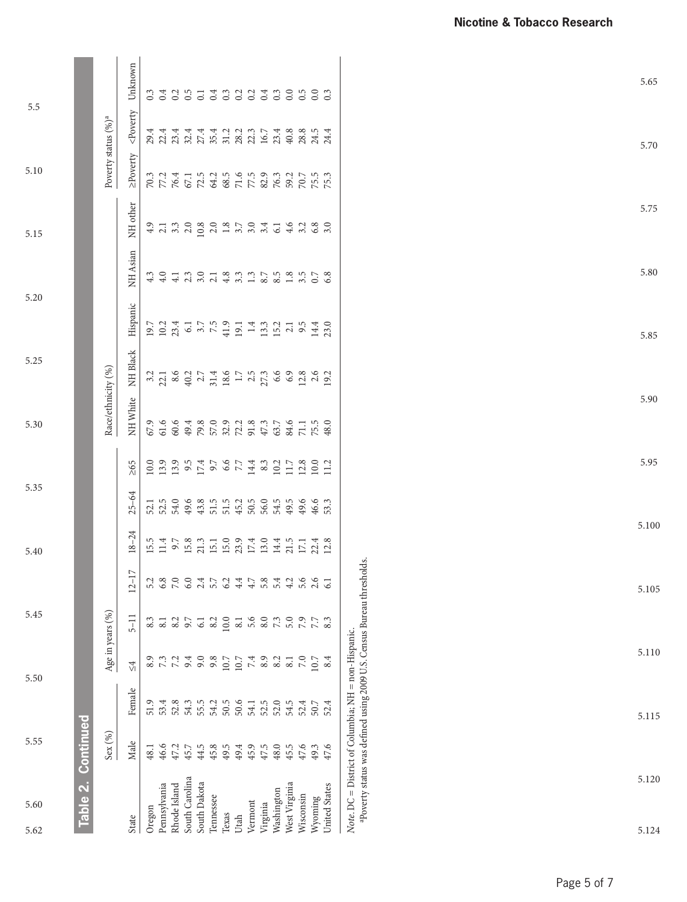| 5.60<br>5.62                                                                                                                                | 5.55    |                                                 | 5.50             | 5.45             |           | 5.40                         | 5.35                                                            |                                                                                | 5.30               | 5.25     | 5.20     |                               | 5.15     | 5.10                            | 5.5                                         |                                   |
|---------------------------------------------------------------------------------------------------------------------------------------------|---------|-------------------------------------------------|------------------|------------------|-----------|------------------------------|-----------------------------------------------------------------|--------------------------------------------------------------------------------|--------------------|----------|----------|-------------------------------|----------|---------------------------------|---------------------------------------------|-----------------------------------|
| Table 2. Continued                                                                                                                          |         |                                                 |                  |                  |           |                              |                                                                 |                                                                                |                    |          |          |                               |          |                                 |                                             |                                   |
|                                                                                                                                             | Sex (%) |                                                 |                  | Age in years (%) |           |                              |                                                                 |                                                                                | Race/ethnicity (%) |          |          |                               |          | Poverty status (%) <sup>a</sup> |                                             |                                   |
| State                                                                                                                                       | Male    | Female                                          | $\frac{4}{5}$    | $5 - 11$         | $12 - 17$ | $18 - 24$                    | $25 - 64$                                                       | $\geq 65$                                                                      | NH White           | NH Black | Hispanic | NH Asian                      | NH other | ≥Poverty                        | <poverty< th=""><th>Unknown</th></poverty<> | Unknown                           |
| Oregon                                                                                                                                      | 48.1    | 51.9                                            | 8.9              | 8.3              |           | 15.5                         | 52.1                                                            |                                                                                |                    |          |          | 4.3                           |          |                                 |                                             |                                   |
| Pennsylvania                                                                                                                                | 46.6    | 53.4                                            |                  |                  | 6.8       |                              |                                                                 | $\begin{array}{l} 0.999997 \\ 0.000000 \\ 0.000000 \\ 0.000000 \\ \end{array}$ |                    |          |          |                               |          |                                 |                                             | 6 3 4 5 5 5 6 6 6 6 6 6 6 6 6 6 6 |
| Rhode Island                                                                                                                                | 47.2    | 52.8                                            | 7.7498           | $\frac{3}{8}$ .2 | 7.0       | 15.8.3110.9.310.4.51123.8.11 | 5<br>5 5 6 9 8 9 5 6 7 9 9 9 9 9 9<br>5 5 9 9 9 5 5 9 9 9 9 9 9 |                                                                                |                    |          |          | 0 1 1 0 1 2 3 3 4 4 5 6 7 8 9 |          |                                 |                                             |                                   |
| South Carolina                                                                                                                              | 45.7    | 54.3                                            |                  | $9.7$ 6.1        | 6.0       |                              |                                                                 |                                                                                |                    |          |          |                               |          |                                 |                                             |                                   |
| South Dakota                                                                                                                                | 44.5    | 55.5                                            |                  |                  | 2.4       |                              |                                                                 |                                                                                |                    |          |          |                               |          |                                 |                                             |                                   |
| Tennessee                                                                                                                                   | 45.8    |                                                 |                  |                  | 5.7       |                              |                                                                 |                                                                                |                    |          |          |                               |          |                                 |                                             |                                   |
| Texas                                                                                                                                       | 49.5    |                                                 | $10.7\,$         | 10.0             | 6.2       |                              |                                                                 |                                                                                |                    |          |          |                               |          |                                 |                                             |                                   |
| Utah                                                                                                                                        | 49.4    |                                                 | $10.7\,$         | $\overline{8.1}$ | 4.4       |                              |                                                                 |                                                                                |                    |          |          |                               |          |                                 |                                             |                                   |
| Vermont                                                                                                                                     | 45.9    |                                                 |                  | 5.6              | 4.7       |                              |                                                                 |                                                                                |                    |          |          |                               |          |                                 |                                             |                                   |
| Virginia                                                                                                                                    | 47.5    | $3.356$<br>$5.65$<br>$5.75$<br>$5.75$<br>$5.20$ | $7.4$<br>8.9     | 8.0              | 5.8       |                              |                                                                 |                                                                                |                    |          |          |                               |          |                                 |                                             |                                   |
| Washington                                                                                                                                  | 48.0    |                                                 | 8.2              | 73               | 5.4       |                              |                                                                 |                                                                                |                    |          |          |                               |          |                                 |                                             |                                   |
| West Virginia                                                                                                                               | 45.5    | 54.5                                            | $\overline{8}$ . | 5.0              | 4.2       |                              |                                                                 |                                                                                |                    |          |          |                               |          |                                 |                                             |                                   |
| Wisconsin                                                                                                                                   | 47.6    | 52.4                                            | 7.0              | 7.9              |           |                              |                                                                 |                                                                                |                    |          |          | $1.8$<br>3.5                  |          |                                 |                                             |                                   |
| Wyoming                                                                                                                                     | 49.3    | 50.7                                            | 0.7              | 7.7              |           |                              |                                                                 |                                                                                |                    |          |          |                               |          |                                 |                                             |                                   |
| United States                                                                                                                               | 47.6    | 52.4                                            | 8.4              | 8.3              |           |                              | 53.3                                                            |                                                                                | 48.0               | 19.2     |          | 6.8                           | 3.0      | 75.3                            | 24.4                                        |                                   |
| <sup>a</sup> Poverty status was defined using 2009 U.S. Census Bureau thresholds.<br>Note. $DC = District of Columbia$ ; NH = non-Hispanic. |         |                                                 |                  |                  |           |                              |                                                                 |                                                                                |                    |          |          |                               |          |                                 |                                             |                                   |
|                                                                                                                                             |         |                                                 |                  |                  |           |                              |                                                                 |                                                                                |                    |          |          |                               |          |                                 |                                             |                                   |

| 5.65  |
|-------|
| 5.70  |
| 5.75  |
| 5.80  |
| 5.85  |
| 5.90  |
| 5.95  |
| 5.100 |
| 5.105 |
| 5.110 |
| 5.115 |
| 5.120 |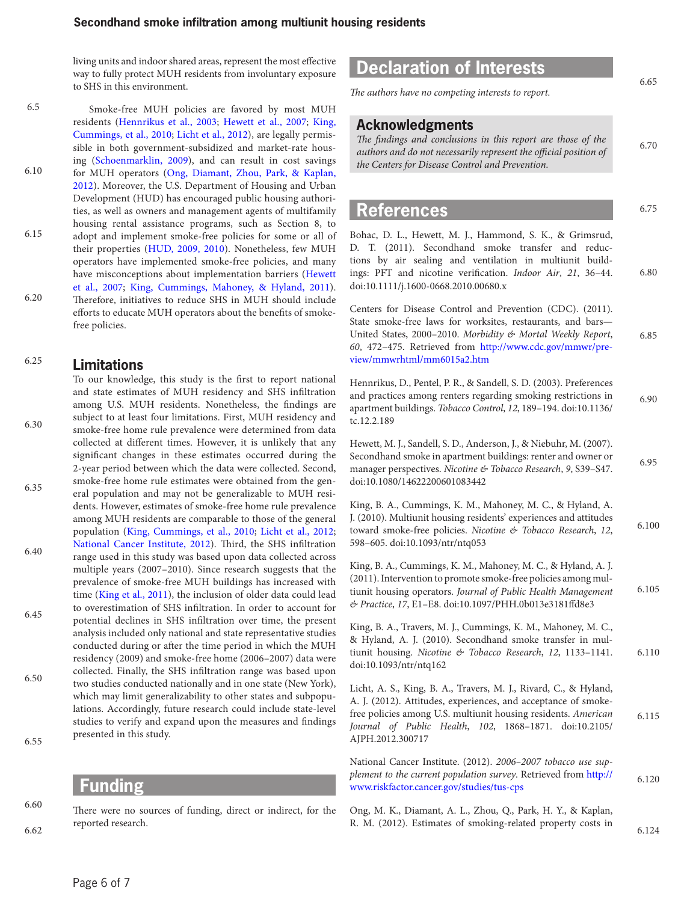living units and indoor shared areas, represent the most effective way to fully protect MUH residents from involuntary exposure to SHS in this environment.

Smoke-free MUH policies are favored by most MUH residents ([Hennrikus et al., 2003;](#page-5-3) [Hewett et al., 2007;](#page-5-4) [King,](#page-5-5) [Cummings, et al., 2010;](#page-5-5) [Licht et al., 2012\)](#page-5-6), are legally permissible in both government-subsidized and market-rate housing ([Schoenmarklin, 2009](#page-6-2)), and can result in cost savings for MUH operators ([Ong, Diamant, Zhou, Park, & Kaplan,](#page-5-8) [2012\)](#page-5-8). Moreover, the U.S. Department of Housing and Urban Development (HUD) has encouraged public housing authorities, as well as owners and management agents of multifamily housing rental assistance programs, such as Section 8, to adopt and implement smoke-free policies for some or all of their properties [\(HUD, 2009](#page-6-3)[, 2010\)](#page-6-4). Nonetheless, few MUH operators have implemented smoke-free policies, and many have misconceptions about implementation barriers ([Hewett](#page-5-4) [et al., 2007;](#page-5-4) [King, Cummings, Mahoney, & Hyland, 2011](#page-5-9)). Therefore, initiatives to reduce SHS in MUH should include efforts to educate MUH operators about the benefits of smokefree policies. 6.5 6.10 6.15 6.20

#### **Limitations** 6.25

To our knowledge, this study is the first to report national and state estimates of MUH residency and SHS infiltration among U.S. MUH residents. Nonetheless, the findings are subject to at least four limitations. First, MUH residency and smoke-free home rule prevalence were determined from data collected at different times. However, it is unlikely that any significant changes in these estimates occurred during the 2-year period between which the data were collected. Second, smoke-free home rule estimates were obtained from the general population and may not be generalizable to MUH residents. However, estimates of smoke-free home rule prevalence among MUH residents are comparable to those of the general population ([King, Cummings, et al., 2010;](#page-5-5) [Licht et al., 2012](#page-5-6); [National Cancer Institute, 2012](#page-5-7)). Third, the SHS infiltration range used in this study was based upon data collected across multiple years (2007–2010). Since research suggests that the prevalence of smoke-free MUH buildings has increased with time ([King et al., 2011\)](#page-5-9), the inclusion of older data could lead to overestimation of SHS infiltration. In order to account for potential declines in SHS infiltration over time, the present analysis included only national and state representative studies conducted during or after the time period in which the MUH residency (2009) and smoke-free home (2006–2007) data were collected. Finally, the SHS infiltration range was based upon two studies conducted nationally and in one state (New York), which may limit generalizability to other states and subpopulations. Accordingly, future research could include state-level studies to verify and expand upon the measures and findings presented in this study. 6.30 6.35 6.40 6.45 6.50 6.55

### **Funding**

There were no sources of funding, direct or indirect, for the reported research.

### **Declaration of Interests**

*The authors have no competing interests to report.*

#### **Acknowledgments**

| The findings and conclusions in this report are those of the      | 6.70 |
|-------------------------------------------------------------------|------|
| authors and do not necessarily represent the official position of |      |
| the Centers for Disease Control and Prevention.                   |      |

### **References**

<span id="page-5-5"></span><span id="page-5-4"></span><span id="page-5-3"></span><span id="page-5-1"></span><span id="page-5-0"></span>Bohac, D. L., Hewett, M. J., Hammond, S. K., & Grimsrud, D. T. (2011). Secondhand smoke transfer and reductions by air sealing and ventilation in multiunit buildings: PFT and nicotine verification. *Indoor Air*, *21*, 36–44. doi:10.1111/j.1600-0668.2010.00680.x Centers for Disease Control and Prevention (CDC). (2011). State smoke-free laws for worksites, restaurants, and bars— United States, 2000–2010. *Morbidity & Mortal Weekly Report*, *60*, 472–475. Retrieved from [http://www.cdc.gov/mmwr/pre](http://www.cdc.gov/mmwr/preview/mmwrhtml/mm6015a2.htm)[view/mmwrhtml/mm6015a2.htm](http://www.cdc.gov/mmwr/preview/mmwrhtml/mm6015a2.htm) Hennrikus, D., Pentel, P. R., & Sandell, S. D. (2003). Preferences and practices among renters regarding smoking restrictions in apartment buildings. *Tobacco Control*, *12*, 189–194. doi:10.1136/ tc.12.2.189 Hewett, M. J., Sandell, S. D., Anderson, J., & Niebuhr, M. (2007). Secondhand smoke in apartment buildings: renter and owner or manager perspectives. *Nicotine & Tobacco Research*, *9*, S39–S47. doi:10.1080/14622200601083442 King, B. A., Cummings, K. M., Mahoney, M. C., & Hyland, A. J. (2010). Multiunit housing residents' experiences and attitudes toward smoke-free policies. *Nicotine & Tobacco Research*, *12*, 598–605. doi:10.1093/ntr/ntq053 King, B. A., Cummings, K. M., Mahoney, M. C., & Hyland, A. J. (2011). Intervention to promote smoke-free policies among multiunit housing operators. *Journal of Public Health Management & Practice*, *17*, E1–E8. doi:10.1097/PHH.0b013e3181ffd8e3 King, B. A., Travers, M. J., Cummings, K. M., Mahoney, M. C., & Hyland, A. J. (2010). Secondhand smoke transfer in multiunit housing. *Nicotine & Tobacco Research*, *12*, 1133–1141. doi:10.1093/ntr/ntq162 Licht, A. S., King, B. A., Travers, M. J., Rivard, C., & Hyland, A. J. (2012). Attitudes, experiences, and acceptance of smokefree policies among U.S. multiunit housing residents. *American Journal of Public Health*, *102*, 1868–1871. doi:10.2105/ AJPH.2012.300717 National Cancer Institute. (2012). *2006–2007 tobacco use supplement to the current population survey*. Retrieved from [http://](http://www.riskfactor.cancer.gov/studies/tus-cps) [www.riskfactor.cancer.gov/studies/tus-cps](http://www.riskfactor.cancer.gov/studies/tus-cps) 6.75 6.80 6.85 6.90 6.95 6.100 6.105 6.110 6.115 6.120

<span id="page-5-9"></span><span id="page-5-8"></span><span id="page-5-7"></span><span id="page-5-6"></span><span id="page-5-2"></span>Ong, M. K., Diamant, A. L., Zhou, Q., Park, H. Y., & Kaplan, R. M. (2012). Estimates of smoking-related property costs in 6.65

6.124

6.60